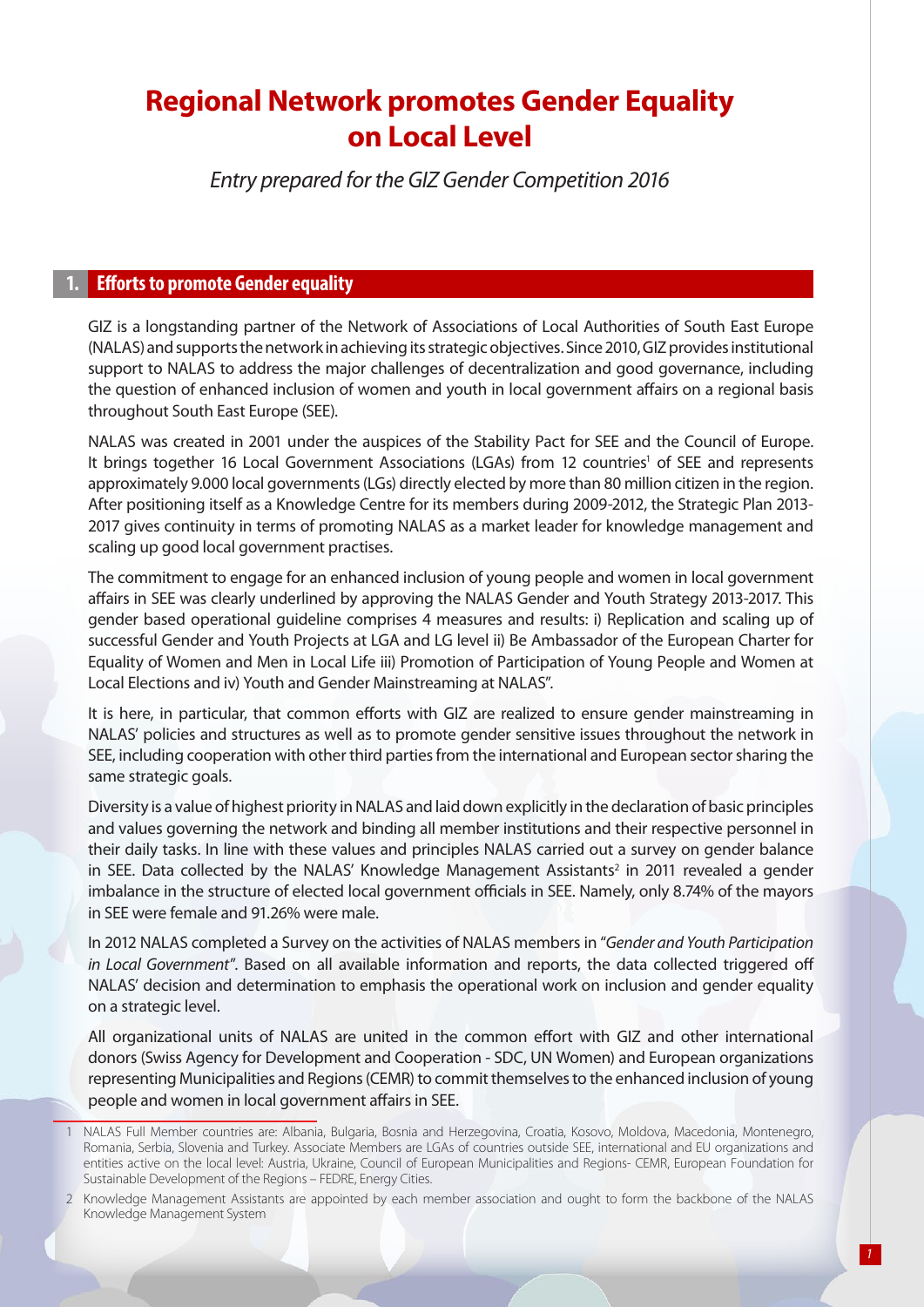# **Regional Network promotes Gender Equality on Local Level**

*Entry prepared for the GIZ Gender Competition 2016* 

#### **1. Efforts to promote Gender equality**

GIZ is a longstanding partner of the Network of Associations of Local Authorities of South East Europe (NALAS) and supports the network in achieving its strategic objectives. Since 2010, GIZ provides institutional support to NALAS to address the major challenges of decentralization and good governance, including the question of enhanced inclusion of women and youth in local government affairs on a regional basis throughout South East Europe (SEE).

NALAS was created in 2001 under the auspices of the Stability Pact for SEE and the Council of Europe. It brings together 16 Local Government Associations (LGAs) from 12 countries<sup>1</sup> of SEE and represents approximately 9.000 local governments (LGs) directly elected by more than 80 million citizen in the region. After positioning itself as a Knowledge Centre for its members during 2009-2012, the Strategic Plan 2013- 2017 gives continuity in terms of promoting NALAS as a market leader for knowledge management and scaling up good local government practises.

The commitment to engage for an enhanced inclusion of young people and women in local government affairs in SEE was clearly underlined by approving the NALAS Gender and Youth Strategy 2013-2017. This gender based operational guideline comprises 4 measures and results: i) Replication and scaling up of successful Gender and Youth Projects at LGA and LG level ii) Be Ambassador of the European Charter for Equality of Women and Men in Local Life iii) Promotion of Participation of Young People and Women at Local Elections and iv) Youth and Gender Mainstreaming at NALAS".

It is here, in particular, that common efforts with GIZ are realized to ensure gender mainstreaming in NALAS' policies and structures as well as to promote gender sensitive issues throughout the network in SEE, including cooperation with other third parties from the international and European sector sharing the same strategic goals.

Diversity is a value of highest priority in NALAS and laid down explicitly in the declaration of basic principles and values governing the network and binding all member institutions and their respective personnel in their daily tasks. In line with these values and principles NALAS carried out a survey on gender balance in SEE. Data collected by the NALAS' Knowledge Management Assistants<sup>2</sup> in 2011 revealed a gender imbalance in the structure of elected local government officials in SEE. Namely, only 8.74% of the mayors in SEE were female and 91.26% were male.

In 2012 NALAS completed a Survey on the activities of NALAS members in "*Gender and Youth Participation in Local Government*". Based on all available information and reports, the data collected triggered off NALAS' decision and determination to emphasis the operational work on inclusion and gender equality on a strategic level.

All organizational units of NALAS are united in the common effort with GIZ and other international donors (Swiss Agency for Development and Cooperation - SDC, UN Women) and European organizations representing Municipalities and Regions (CEMR) to commit themselves to the enhanced inclusion of young people and women in local government affairs in SEE.

<sup>1</sup> NALAS Full Member countries are: Albania, Bulgaria, Bosnia and Herzegovina, Croatia, Kosovo, Moldova, Macedonia, Montenegro, Romania, Serbia, Slovenia and Turkey. Associate Members are LGAs of countries outside SEE, international and EU organizations and entities active on the local level: Austria, Ukraine, Council of European Municipalities and Regions- CEMR, European Foundation for Sustainable Development of the Regions – FEDRE, Energy Cities.

<sup>2</sup> Knowledge Management Assistants are appointed by each member association and ought to form the backbone of the NALAS Knowledge Management System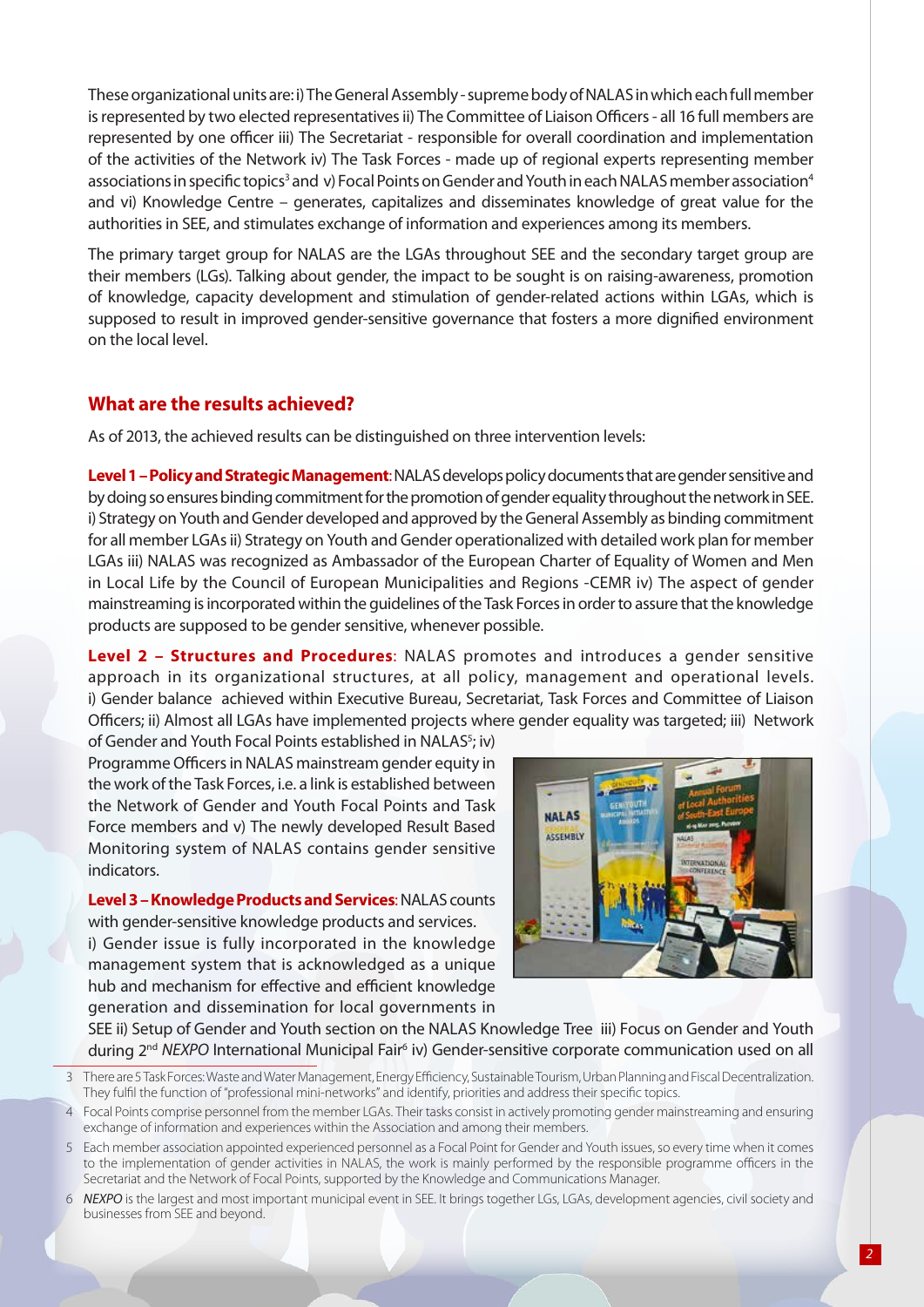These organizational units are: i) The General Assembly - supreme body of NALAS in which each full member is represented by two elected representatives ii) The Committee of Liaison Officers - all 16 full members are represented by one officer iii) The Secretariat - responsible for overall coordination and implementation of the activities of the Network iv) The Task Forces - made up of regional experts representing member associations in specific topics<sup>3</sup> and v) Focal Points on Gender and Youth in each NALAS member association<sup>4</sup> and vi) Knowledge Centre – generates, capitalizes and disseminates knowledge of great value for the authorities in SEE, and stimulates exchange of information and experiences among its members.

The primary target group for NALAS are the LGAs throughout SEE and the secondary target group are their members (LGs). Talking about gender, the impact to be sought is on raising-awareness, promotion of knowledge, capacity development and stimulation of gender-related actions within LGAs, which is supposed to result in improved gender-sensitive governance that fosters a more dignified environment on the local level.

## **What are the results achieved?**

As of 2013, the achieved results can be distinguished on three intervention levels:

**Level 1 – Policy and Strategic Management**: NALAS develops policy documents that are gender sensitive and by doing so ensures binding commitment for the promotion of gender equality throughout the network in SEE. i) Strategy on Youth and Gender developed and approved by the General Assembly as binding commitment for all member LGAs ii) Strategy on Youth and Gender operationalized with detailed work plan for member LGAs iii) NALAS was recognized as Ambassador of the European Charter of Equality of Women and Men in Local Life by the Council of European Municipalities and Regions -CEMR iv) The aspect of gender mainstreaming is incorporated within the guidelines of the Task Forces in order to assure that the knowledge products are supposed to be gender sensitive, whenever possible.

**Level 2 – Structures and Procedures**: NALAS promotes and introduces a gender sensitive approach in its organizational structures, at all policy, management and operational levels. i) Gender balance achieved within Executive Bureau, Secretariat, Task Forces and Committee of Liaison Officers; ii) Almost all LGAs have implemented projects where gender equality was targeted; iii) Network

of Gender and Youth Focal Points established in NALAS<sup>5</sup>; iv) Programme Officers in NALAS mainstream gender equity in the work of the Task Forces, i.e. a link is established between the Network of Gender and Youth Focal Points and Task Force members and v) The newly developed Result Based Monitoring system of NALAS contains gender sensitive indicators.

**Level 3 – Knowledge Products and Services**: NALAS counts with gender-sensitive knowledge products and services. i) Gender issue is fully incorporated in the knowledge management system that is acknowledged as a unique hub and mechanism for effective and efficient knowledge generation and dissemination for local governments in



SEE ii) Setup of Gender and Youth section on the NALAS Knowledge Tree iii) Focus on Gender and Youth during 2<sup>nd</sup> NEXPO International Municipal Fair<sup>6</sup> iv) Gender-sensitive corporate communication used on all

- 5 Each member association appointed experienced personnel as a Focal Point for Gender and Youth issues, so every time when it comes to the implementation of gender activities in NALAS, the work is mainly performed by the responsible programme officers in the Secretariat and the Network of Focal Points, supported by the Knowledge and Communications Manager.
- 6 *NEXPO* is the largest and most important municipal event in SEE. It brings together LGs, LGAs, development agencies, civil society and businesses from SEE and beyond.

<sup>3</sup> There are 5 Task Forces: Waste and Water Management, Energy Efficiency, Sustainable Tourism, Urban Planning and Fiscal Decentralization. They fulfil the function of "professional mini-networks" and identify, priorities and address their specific topics.

<sup>4</sup> Focal Points comprise personnel from the member LGAs. Their tasks consist in actively promoting gender mainstreaming and ensuring exchange of information and experiences within the Association and among their members.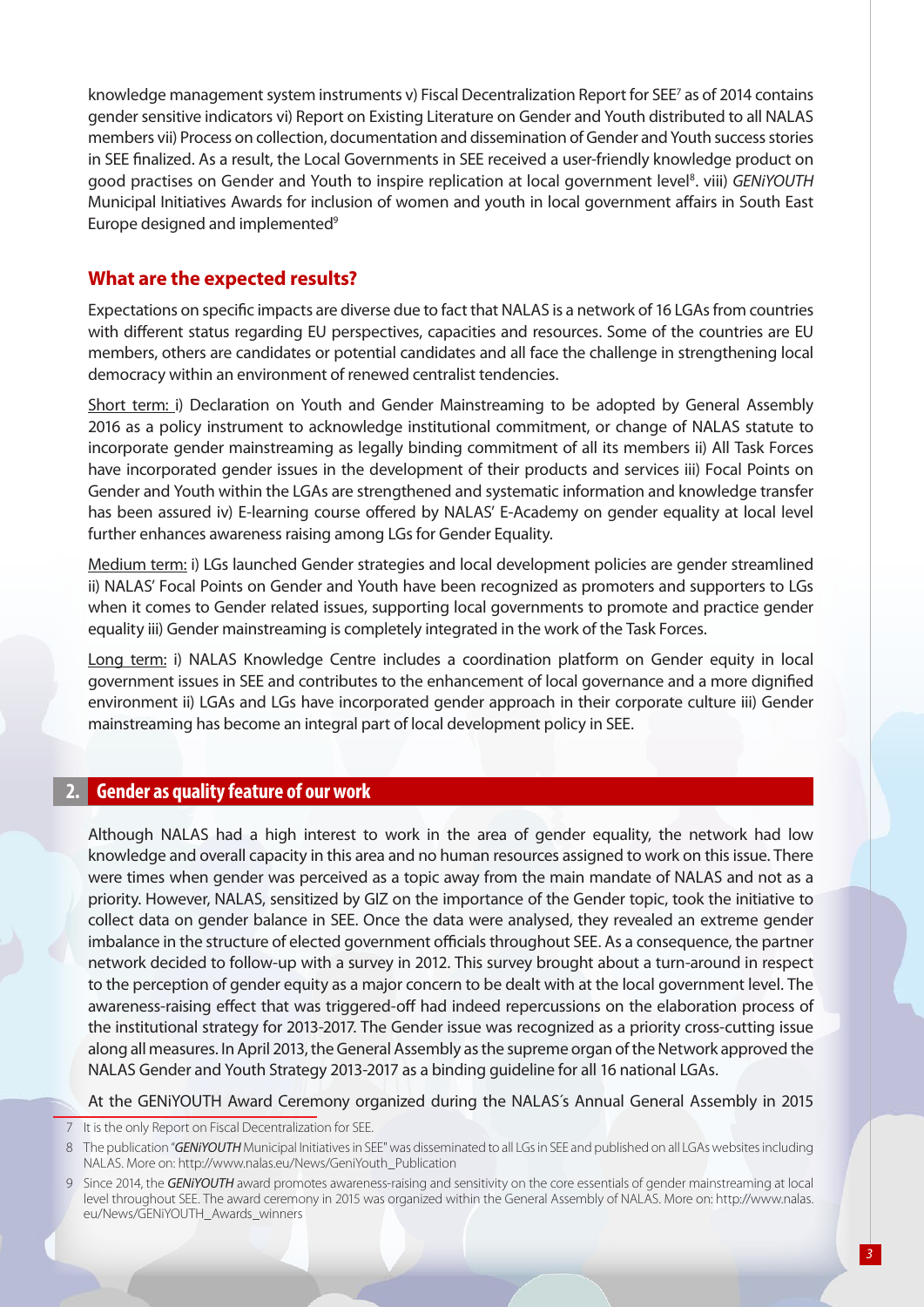knowledge management system instruments v) Fiscal Decentralization Report for SEE7 as of 2014 contains gender sensitive indicators vi) Report on Existing Literature on Gender and Youth distributed to all NALAS members vii) Process on collection, documentation and dissemination of Gender and Youth success stories in SEE finalized. As a result, the Local Governments in SEE received a user-friendly knowledge product on good practises on Gender and Youth to inspire replication at local government level<sup>8</sup>. viii) GENiYOUTH Municipal Initiatives Awards for inclusion of women and youth in local government affairs in South East Europe designed and implemented<sup>9</sup>

## **What are the expected results?**

Expectations on specific impacts are diverse due to fact that NALAS is a network of 16 LGAs from countries with different status regarding EU perspectives, capacities and resources. Some of the countries are EU members, others are candidates or potential candidates and all face the challenge in strengthening local democracy within an environment of renewed centralist tendencies.

Short term: i) Declaration on Youth and Gender Mainstreaming to be adopted by General Assembly 2016 as a policy instrument to acknowledge institutional commitment, or change of NALAS statute to incorporate gender mainstreaming as legally binding commitment of all its members ii) All Task Forces have incorporated gender issues in the development of their products and services iii) Focal Points on Gender and Youth within the LGAs are strengthened and systematic information and knowledge transfer has been assured iv) E-learning course offered by NALAS' E-Academy on gender equality at local level further enhances awareness raising among LGs for Gender Equality.

Medium term: i) LGs launched Gender strategies and local development policies are gender streamlined ii) NALAS' Focal Points on Gender and Youth have been recognized as promoters and supporters to LGs when it comes to Gender related issues, supporting local governments to promote and practice gender equality iii) Gender mainstreaming is completely integrated in the work of the Task Forces.

Long term: i) NALAS Knowledge Centre includes a coordination platform on Gender equity in local government issues in SEE and contributes to the enhancement of local governance and a more dignified environment ii) LGAs and LGs have incorporated gender approach in their corporate culture iii) Gender mainstreaming has become an integral part of local development policy in SEE.

#### **2. Gender as quality feature of our work**

Although NALAS had a high interest to work in the area of gender equality, the network had low knowledge and overall capacity in this area and no human resources assigned to work on this issue. There were times when gender was perceived as a topic away from the main mandate of NALAS and not as a priority. However, NALAS, sensitized by GIZ on the importance of the Gender topic, took the initiative to collect data on gender balance in SEE. Once the data were analysed, they revealed an extreme gender imbalance in the structure of elected government officials throughout SEE. As a consequence, the partner network decided to follow-up with a survey in 2012. This survey brought about a turn-around in respect to the perception of gender equity as a major concern to be dealt with at the local government level. The awareness-raising effect that was triggered-off had indeed repercussions on the elaboration process of the institutional strategy for 2013-2017. The Gender issue was recognized as a priority cross-cutting issue along all measures. In April 2013, the General Assembly as the supreme organ of the Network approved the NALAS Gender and Youth Strategy 2013-2017 as a binding guideline for all 16 national LGAs.

At the GENiYOUTH Award Ceremony organized during the NALAS´s Annual General Assembly in 2015

<sup>7</sup> It is the only Report on Fiscal Decentralization for SEE.

<sup>8</sup> The publication "*GENiYOUTH* Municipal Initiatives in SEE" was disseminated to all LGs in SEE and published on all LGAs websites including NALAS. More on: http://www.nalas.eu/News/GeniYouth\_Publication

<sup>9</sup> Since 2014, the *GENiYOUTH* award promotes awareness-raising and sensitivity on the core essentials of gender mainstreaming at local level throughout SEE. The award ceremony in 2015 was organized within the General Assembly of NALAS. More on: http://www.nalas. eu/News/GENiYOUTH\_Awards\_winners